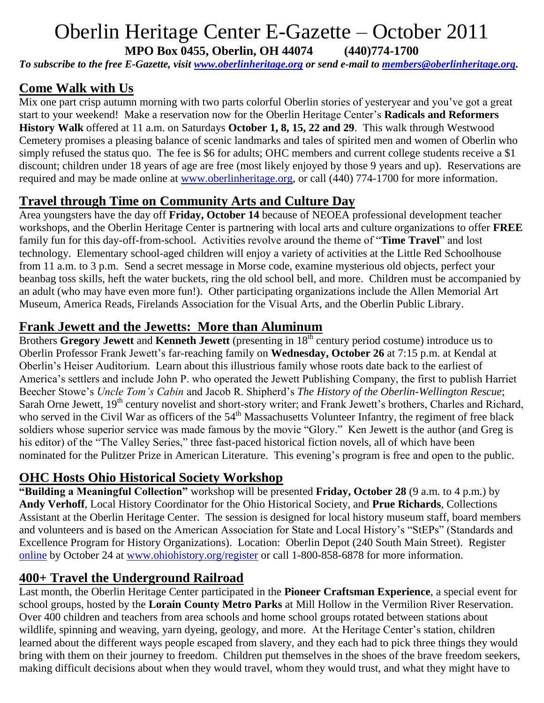# Oberlin Heritage Center E-Gazette – October 2011

**MPO Box 0455, Oberlin, OH 44074 (440)774-1700**

*To subscribe to the free E-Gazette, visit [www.oberlinheritage.org](http://www.oberlinheritage.org/) or send e-mail to [members@oberlinheritage.org.](mailto:members@oberlinheritage.org)*

# **Come Walk with Us**

Mix one part crisp autumn morning with two parts colorful Oberlin stories of yesteryear and you've got a great start to your weekend! Make a reservation now for the Oberlin Heritage Center's **Radicals and Reformers History Walk** offered at 11 a.m. on Saturdays **October 1, 8, 15, 22 and 29**. This walk through Westwood Cemetery promises a pleasing balance of scenic landmarks and tales of spirited men and women of Oberlin who simply refused the status quo. The fee is \$6 for adults; OHC members and current college students receive a \$1 discount; children under 18 years of age are free (most likely enjoyed by those 9 years and up). Reservations are required and may be made online at [www.oberlinheritage.org,](http://www.oberlinheritage.org/) or call (440) 774-1700 for more information.

# **Travel through Time on Community Arts and Culture Day**

Area youngsters have the day off **Friday, October 14** because of NEOEA professional development teacher workshops, and the Oberlin Heritage Center is partnering with local arts and culture organizations to offer **FREE** family fun for this day-off-from-school. Activities revolve around the theme of "**Time Travel**" and lost technology. Elementary school-aged children will enjoy a variety of activities at the Little Red Schoolhouse from 11 a.m. to 3 p.m. Send a secret message in Morse code, examine mysterious old objects, perfect your beanbag toss skills, heft the water buckets, ring the old school bell, and more. Children must be accompanied by an adult (who may have even more fun!). Other participating organizations include the Allen Memorial Art Museum, America Reads, Firelands Association for the Visual Arts, and the Oberlin Public Library.

#### **Frank Jewett and the Jewetts: More than Aluminum**

Brothers **Gregory Jewett** and **Kenneth Jewett** (presenting in 18<sup>th</sup> century period costume) introduce us to Oberlin Professor Frank Jewett's far-reaching family on **Wednesday, October 26** at 7:15 p.m. at Kendal at Oberlin's Heiser Auditorium. Learn about this illustrious family whose roots date back to the earliest of America's settlers and include John P. who operated the Jewett Publishing Company, the first to publish Harriet Beecher Stowe's *Uncle Tom's Cabin* and Jacob R. Shipherd's *The History of the Oberlin-Wellington Rescue*; Sarah Orne Jewett, 19<sup>th</sup> century novelist and short-story writer; and Frank Jewett's brothers, Charles and Richard, who served in the Civil War as officers of the 54<sup>th</sup> Massachusetts Volunteer Infantry, the regiment of free black soldiers whose superior service was made famous by the movie "Glory." Ken Jewett is the author (and Greg is his editor) of the "The Valley Series," three fast-paced historical fiction novels, all of which have been nominated for the Pulitzer Prize in American Literature. This evening's program is free and open to the public.

# **OHC Hosts Ohio Historical Society Workshop**

**"Building a Meaningful Collection"** workshop will be presented **Friday, October 28** (9 a.m. to 4 p.m.) by **Andy Verhoff**, Local History Coordinator for the Ohio Historical Society, and **Prue Richards**, Collections Assistant at the Oberlin Heritage Center. The session is designed for local history museum staff, board members and volunteers and is based on the American Association for State and Local History's "StEPs" (Standards and Excellence Program for History Organizations). Location: Oberlin Depot (240 South Main Street). Register [online](http://www.ohiohistorystore.com/AASLHs-StEPs-Workshops-for-Ohios-Local-History-Organizations-P8627C61.aspx?UserID=7389388&SessionID=OxyH%7bnfgO0DrrxUoqhVP) by October 24 at [www.ohiohistory.org/register](http://www.ohiohistory.org/register) or call 1-800-858-6878 for more information.

# **400+ Travel the Underground Railroad**

Last month, the Oberlin Heritage Center participated in the **Pioneer Craftsman Experience**, a special event for school groups, hosted by the **Lorain County Metro Parks** at Mill Hollow in the Vermilion River Reservation. Over 400 children and teachers from area schools and home school groups rotated between stations about wildlife, spinning and weaving, yarn dyeing, geology, and more. At the Heritage Center's station, children learned about the different ways people escaped from slavery, and they each had to pick three things they would bring with them on their journey to freedom. Children put themselves in the shoes of the brave freedom seekers, making difficult decisions about when they would travel, whom they would trust, and what they might have to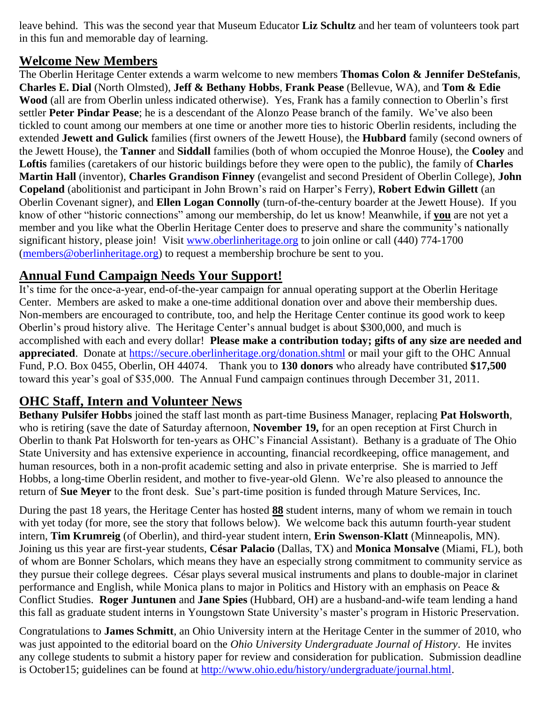leave behind. This was the second year that Museum Educator **Liz Schultz** and her team of volunteers took part in this fun and memorable day of learning.

#### **Welcome New Members**

The Oberlin Heritage Center extends a warm welcome to new members **Thomas Colon & Jennifer DeStefanis**, **Charles E. Dial** (North Olmsted), **Jeff & Bethany Hobbs**, **Frank Pease** (Bellevue, WA), and **Tom & Edie Wood** (all are from Oberlin unless indicated otherwise). Yes, Frank has a family connection to Oberlin's first settler **Peter Pindar Pease**; he is a descendant of the Alonzo Pease branch of the family. We've also been tickled to count among our members at one time or another more ties to historic Oberlin residents, including the extended **Jewett and Gulick** families (first owners of the Jewett House), the **Hubbard** family (second owners of the Jewett House), the **Tanner** and **Siddall** families (both of whom occupied the Monroe House), the **Cooley** and **Loftis** families (caretakers of our historic buildings before they were open to the public), the family of **Charles Martin Hall** (inventor), **Charles Grandison Finney** (evangelist and second President of Oberlin College), **John Copeland** (abolitionist and participant in John Brown's raid on Harper's Ferry), **Robert Edwin Gillett** (an Oberlin Covenant signer), and **Ellen Logan Connolly** (turn-of-the-century boarder at the Jewett House). If you know of other "historic connections" among our membership, do let us know! Meanwhile, if **you** are not yet a member and you like what the Oberlin Heritage Center does to preserve and share the community's nationally significant history, please join! Visit [www.oberlinheritage.org](http://www.oberlinheritage.org/) to join online or call (440) 774-1700 [\(members@oberlinheritage.org\)](mailto:members@oberlinheritage.org) to request a membership brochure be sent to you.

# **Annual Fund Campaign Needs Your Support!**

It's time for the once-a-year, end-of-the-year campaign for annual operating support at the Oberlin Heritage Center. Members are asked to make a one-time additional donation over and above their membership dues. Non-members are encouraged to contribute, too, and help the Heritage Center continue its good work to keep Oberlin's proud history alive. The Heritage Center's annual budget is about \$300,000, and much is accomplished with each and every dollar! **Please make a contribution today; gifts of any size are needed and appreciated**. Donate at<https://secure.oberlinheritage.org/donation.shtml> or mail your gift to the OHC Annual Fund, P.O. Box 0455, Oberlin, OH 44074. Thank you to **130 donors** who already have contributed **\$17,500** toward this year's goal of \$35,000. The Annual Fund campaign continues through December 31, 2011.

# **OHC Staff, Intern and Volunteer News**

**Bethany Pulsifer Hobbs** joined the staff last month as part-time Business Manager, replacing **Pat Holsworth**, who is retiring (save the date of Saturday afternoon, **November 19,** for an open reception at First Church in Oberlin to thank Pat Holsworth for ten-years as OHC's Financial Assistant). Bethany is a graduate of The Ohio State University and has extensive experience in accounting, financial recordkeeping, office management, and human resources, both in a non-profit academic setting and also in private enterprise. She is married to Jeff Hobbs, a long-time Oberlin resident, and mother to five-year-old Glenn. We're also pleased to announce the return of **Sue Meyer** to the front desk. Sue's part-time position is funded through Mature Services, Inc.

During the past 18 years, the Heritage Center has hosted **88** student interns, many of whom we remain in touch with yet today (for more, see the story that follows below). We welcome back this autumn fourth-year student intern, **Tim Krumreig** (of Oberlin), and third-year student intern, **Erin Swenson-Klatt** (Minneapolis, MN). Joining us this year are first-year students, **César Palacio** (Dallas, TX) and **Monica Monsalve** (Miami, FL), both of whom are Bonner Scholars, which means they have an especially strong commitment to community service as they pursue their college degrees. César plays several musical instruments and plans to double-major in clarinet performance and English, while Monica plans to major in Politics and History with an emphasis on Peace & Conflict Studies. **Roger Juntunen** and **Jane Spies** (Hubbard, OH) are a husband-and-wife team lending a hand this fall as graduate student interns in Youngstown State University's master's program in Historic Preservation.

Congratulations to **James Schmitt**, an Ohio University intern at the Heritage Center in the summer of 2010, who was just appointed to the editorial board on the *Ohio University Undergraduate Journal of History*. He invites any college students to submit a history paper for review and consideration for publication. Submission deadline is October15; guidelines can be found at [http://www.ohio.edu/history/undergraduate/journal.html.](http://www.ohio.edu/history/undergraduate/journal.html)